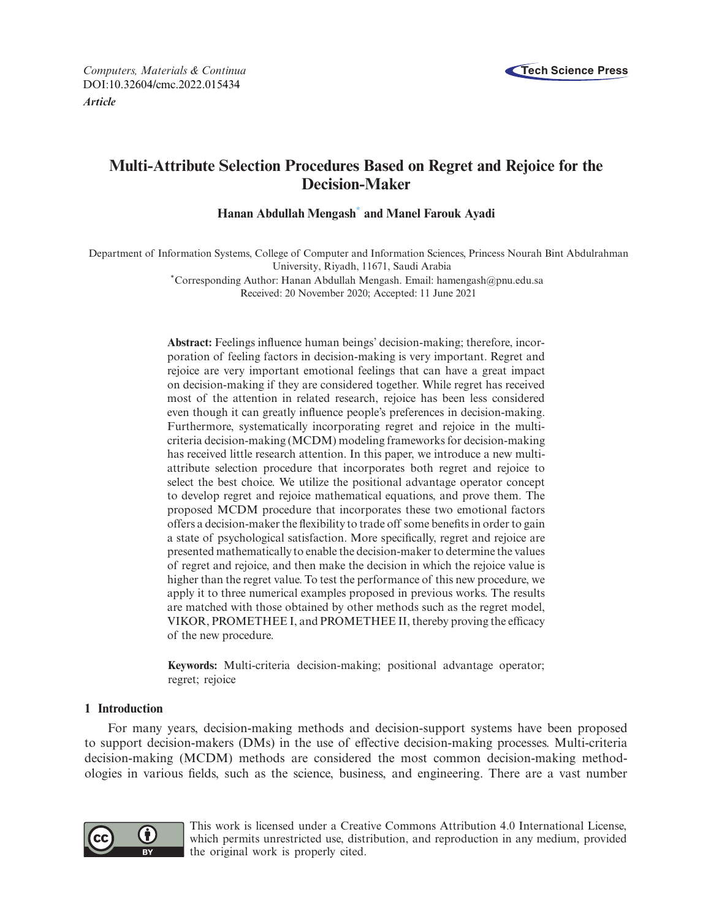

# **Multi-Attribute Selection Procedures Based on Regret and Rejoice for the Decision-Maker**

**Hanan Abdullah Mengash[\\*](#page-0-0) and Manel Farouk Ayadi**

Department of Information Systems, College of Computer and Information Sciences, Princess Nourah Bint Abdulrahman University, Riyadh, 11671, Saudi Arabia

> <span id="page-0-0"></span>\*Corresponding Author: Hanan Abdullah Mengash. Email: hamengash@pnu.edu.sa Received: 20 November 2020; Accepted: 11 June 2021

**Abstract:** Feelings influence human beings' decision-making; therefore, incorporation of feeling factors in decision-making is very important. Regret and rejoice are very important emotional feelings that can have a great impact on decision-making if they are considered together. While regret has received most of the attention in related research, rejoice has been less considered even though it can greatly influence people's preferences in decision-making. Furthermore, systematically incorporating regret and rejoice in the multicriteria decision-making (MCDM) modeling frameworks for decision-making has received little research attention. In this paper, we introduce a new multiattribute selection procedure that incorporates both regret and rejoice to select the best choice. We utilize the positional advantage operator concept to develop regret and rejoice mathematical equations, and prove them. The proposed MCDM procedure that incorporates these two emotional factors offers a decision-maker the flexibility to trade off some benefits in order to gain a state of psychological satisfaction. More specifically, regret and rejoice are presented mathematically to enable the decision-maker to determine the values of regret and rejoice, and then make the decision in which the rejoice value is higher than the regret value. To test the performance of this new procedure, we apply it to three numerical examples proposed in previous works. The results are matched with those obtained by other methods such as the regret model, VIKOR, PROMETHEE I, and PROMETHEE II, thereby proving the efficacy of the new procedure.

**Keywords:** Multi-criteria decision-making; positional advantage operator; regret; rejoice

# **1 Introduction**

For many years, decision-making methods and decision-support systems have been proposed to support decision-makers (DMs) in the use of effective decision-making processes. Multi-criteria decision-making (MCDM) methods are considered the most common decision-making methodologies in various fields, such as the science, business, and engineering. There are a vast number



This work is licensed under a Creative Commons Attribution 4.0 International License, which permits unrestricted use, distribution, and reproduction in any medium, provided the original work is properly cited.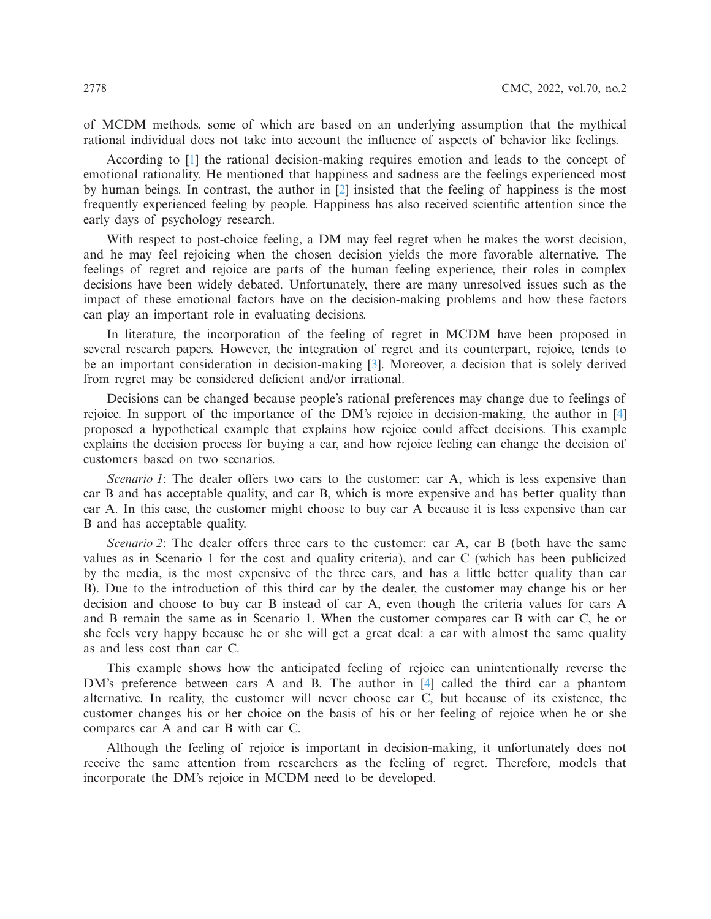of MCDM methods, some of which are based on an underlying assumption that the mythical rational individual does not take into account the influence of aspects of behavior like feelings.

According to [\[1](#page-13-0)] the rational decision-making requires emotion and leads to the concept of emotional rationality. He mentioned that happiness and sadness are the feelings experienced most by human beings. In contrast, the author in [\[2\]](#page-13-1) insisted that the feeling of happiness is the most frequently experienced feeling by people. Happiness has also received scientific attention since the early days of psychology research.

With respect to post-choice feeling, a DM may feel regret when he makes the worst decision, and he may feel rejoicing when the chosen decision yields the more favorable alternative. The feelings of regret and rejoice are parts of the human feeling experience, their roles in complex decisions have been widely debated. Unfortunately, there are many unresolved issues such as the impact of these emotional factors have on the decision-making problems and how these factors can play an important role in evaluating decisions.

In literature, the incorporation of the feeling of regret in MCDM have been proposed in several research papers. However, the integration of regret and its counterpart, rejoice, tends to be an important consideration in decision-making [\[3](#page-13-2)]. Moreover, a decision that is solely derived from regret may be considered deficient and/or irrational.

Decisions can be changed because people's rational preferences may change due to feelings of rejoice. In support of the importance of the DM's rejoice in decision-making, the author in [\[4\]](#page-14-0) proposed a hypothetical example that explains how rejoice could affect decisions. This example explains the decision process for buying a car, and how rejoice feeling can change the decision of customers based on two scenarios.

*Scenario 1*: The dealer offers two cars to the customer: car A, which is less expensive than car B and has acceptable quality, and car B, which is more expensive and has better quality than car A. In this case, the customer might choose to buy car A because it is less expensive than car B and has acceptable quality.

*Scenario 2*: The dealer offers three cars to the customer: car A, car B (both have the same values as in Scenario 1 for the cost and quality criteria), and car C (which has been publicized by the media, is the most expensive of the three cars, and has a little better quality than car B). Due to the introduction of this third car by the dealer, the customer may change his or her decision and choose to buy car B instead of car A, even though the criteria values for cars A and B remain the same as in Scenario 1. When the customer compares car B with car C, he or she feels very happy because he or she will get a great deal: a car with almost the same quality as and less cost than car C.

This example shows how the anticipated feeling of rejoice can unintentionally reverse the DM's preference between cars A and B. The author in [\[4\]](#page-14-0) called the third car a phantom alternative. In reality, the customer will never choose car C, but because of its existence, the customer changes his or her choice on the basis of his or her feeling of rejoice when he or she compares car A and car B with car C.

Although the feeling of rejoice is important in decision-making, it unfortunately does not receive the same attention from researchers as the feeling of regret. Therefore, models that incorporate the DM's rejoice in MCDM need to be developed.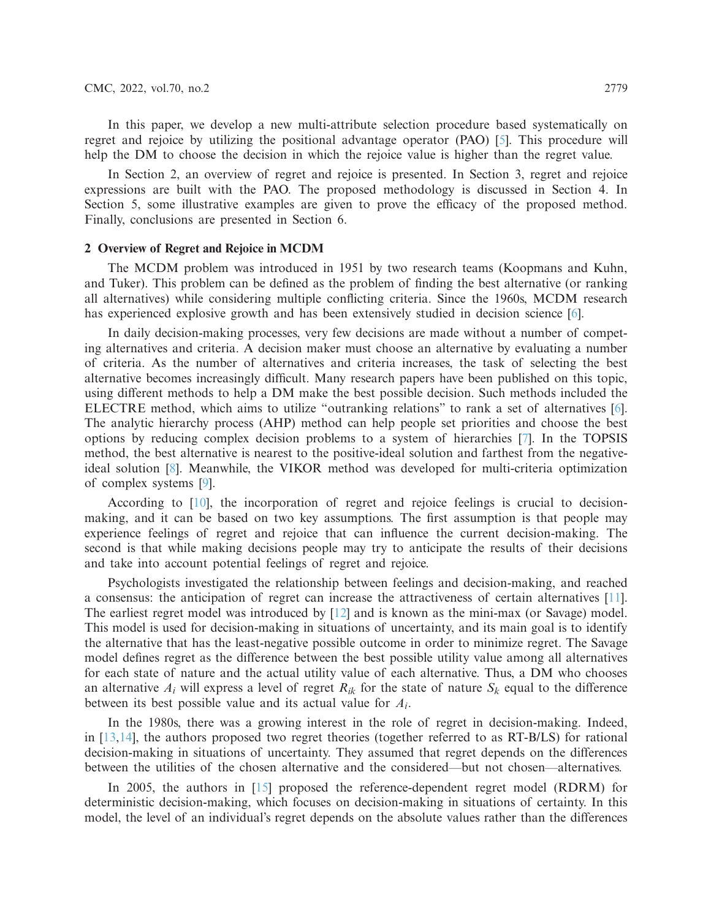In this paper, we develop a new multi-attribute selection procedure based systematically on regret and rejoice by utilizing the positional advantage operator (PAO) [\[5](#page-14-1)]. This procedure will help the DM to choose the decision in which the rejoice value is higher than the regret value.

In Section 2, an overview of regret and rejoice is presented. In Section 3, regret and rejoice expressions are built with the PAO. The proposed methodology is discussed in Section 4. In Section 5, some illustrative examples are given to prove the efficacy of the proposed method. Finally, conclusions are presented in Section 6.

## **2 Overview of Regret and Rejoice in MCDM**

The MCDM problem was introduced in 1951 by two research teams (Koopmans and Kuhn, and Tuker). This problem can be defined as the problem of finding the best alternative (or ranking all alternatives) while considering multiple conflicting criteria. Since the 1960s, MCDM research has experienced explosive growth and has been extensively studied in decision science [\[6\]](#page-14-2).

In daily decision-making processes, very few decisions are made without a number of competing alternatives and criteria. A decision maker must choose an alternative by evaluating a number of criteria. As the number of alternatives and criteria increases, the task of selecting the best alternative becomes increasingly difficult. Many research papers have been published on this topic, using different methods to help a DM make the best possible decision. Such methods included the ELECTRE method, which aims to utilize "outranking relations" to rank a set of alternatives [\[6\]](#page-14-2). The analytic hierarchy process (AHP) method can help people set priorities and choose the best options by reducing complex decision problems to a system of hierarchies [\[7](#page-14-3)]. In the TOPSIS method, the best alternative is nearest to the positive-ideal solution and farthest from the negativeideal solution [\[8](#page-14-4)]. Meanwhile, the VIKOR method was developed for multi-criteria optimization of complex systems [\[9\]](#page-14-5).

According to [\[10\]](#page-14-6), the incorporation of regret and rejoice feelings is crucial to decisionmaking, and it can be based on two key assumptions. The first assumption is that people may experience feelings of regret and rejoice that can influence the current decision-making. The second is that while making decisions people may try to anticipate the results of their decisions and take into account potential feelings of regret and rejoice.

Psychologists investigated the relationship between feelings and decision-making, and reached a consensus: the anticipation of regret can increase the attractiveness of certain alternatives [\[11\]](#page-14-7). The earliest regret model was introduced by [\[12\]](#page-14-8) and is known as the mini-max (or Savage) model. This model is used for decision-making in situations of uncertainty, and its main goal is to identify the alternative that has the least-negative possible outcome in order to minimize regret. The Savage model defines regret as the difference between the best possible utility value among all alternatives for each state of nature and the actual utility value of each alternative. Thus, a DM who chooses an alternative  $A_i$  will express a level of regret  $R_{ik}$  for the state of nature  $S_k$  equal to the difference between its best possible value and its actual value for *Ai*.

In the 1980s, there was a growing interest in the role of regret in decision-making. Indeed, in [\[13](#page-14-9)[,14\]](#page-14-10), the authors proposed two regret theories (together referred to as RT-B/LS) for rational decision-making in situations of uncertainty. They assumed that regret depends on the differences between the utilities of the chosen alternative and the considered—but not chosen—alternatives.

In 2005, the authors in [\[15](#page-14-11)] proposed the reference-dependent regret model (RDRM) for deterministic decision-making, which focuses on decision-making in situations of certainty. In this model, the level of an individual's regret depends on the absolute values rather than the differences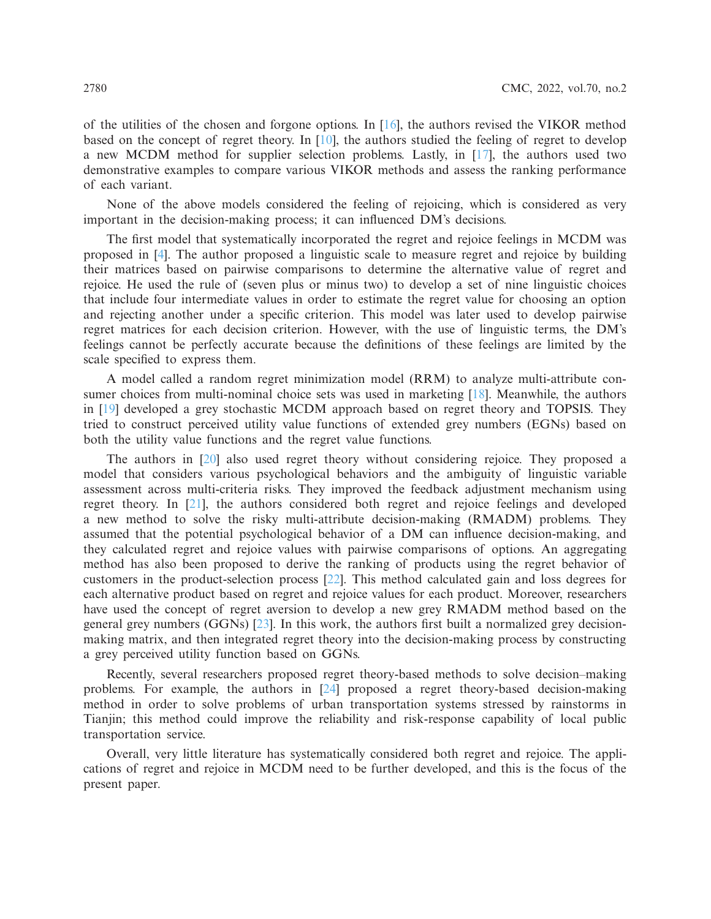of the utilities of the chosen and forgone options. In  $[16]$ , the authors revised the VIKOR method based on the concept of regret theory. In [\[10](#page-14-6)], the authors studied the feeling of regret to develop a new MCDM method for supplier selection problems. Lastly, in [\[17\]](#page-14-13), the authors used two demonstrative examples to compare various VIKOR methods and assess the ranking performance of each variant.

None of the above models considered the feeling of rejoicing, which is considered as very important in the decision-making process; it can influenced DM's decisions.

The first model that systematically incorporated the regret and rejoice feelings in MCDM was proposed in [\[4](#page-14-0)]. The author proposed a linguistic scale to measure regret and rejoice by building their matrices based on pairwise comparisons to determine the alternative value of regret and rejoice. He used the rule of (seven plus or minus two) to develop a set of nine linguistic choices that include four intermediate values in order to estimate the regret value for choosing an option and rejecting another under a specific criterion. This model was later used to develop pairwise regret matrices for each decision criterion. However, with the use of linguistic terms, the DM's feelings cannot be perfectly accurate because the definitions of these feelings are limited by the scale specified to express them.

A model called a random regret minimization model (RRM) to analyze multi-attribute con-sumer choices from multi-nominal choice sets was used in marketing [\[18\]](#page-14-14). Meanwhile, the authors in [\[19](#page-14-15)] developed a grey stochastic MCDM approach based on regret theory and TOPSIS. They tried to construct perceived utility value functions of extended grey numbers (EGNs) based on both the utility value functions and the regret value functions.

The authors in [\[20](#page-14-16)] also used regret theory without considering rejoice. They proposed a model that considers various psychological behaviors and the ambiguity of linguistic variable assessment across multi-criteria risks. They improved the feedback adjustment mechanism using regret theory. In [\[21\]](#page-14-17), the authors considered both regret and rejoice feelings and developed a new method to solve the risky multi-attribute decision-making (RMADM) problems. They assumed that the potential psychological behavior of a DM can influence decision-making, and they calculated regret and rejoice values with pairwise comparisons of options. An aggregating method has also been proposed to derive the ranking of products using the regret behavior of customers in the product-selection process [\[22\]](#page-14-18). This method calculated gain and loss degrees for each alternative product based on regret and rejoice values for each product. Moreover, researchers have used the concept of regret aversion to develop a new grey RMADM method based on the general grey numbers (GGNs) [\[23\]](#page-14-19). In this work, the authors first built a normalized grey decisionmaking matrix, and then integrated regret theory into the decision-making process by constructing a grey perceived utility function based on GGNs.

Recently, several researchers proposed regret theory-based methods to solve decision–making problems. For example, the authors in [\[24\]](#page-14-20) proposed a regret theory-based decision-making method in order to solve problems of urban transportation systems stressed by rainstorms in Tianjin; this method could improve the reliability and risk-response capability of local public transportation service.

Overall, very little literature has systematically considered both regret and rejoice. The applications of regret and rejoice in MCDM need to be further developed, and this is the focus of the present paper.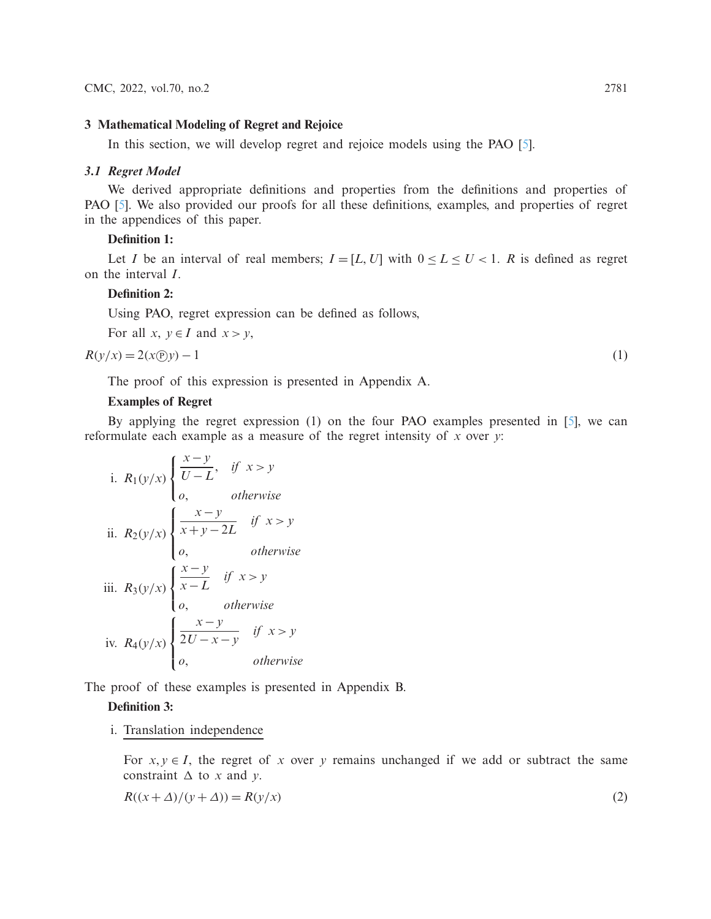# **3 Mathematical Modeling of Regret and Rejoice**

In this section, we will develop regret and rejoice models using the PAO [\[5](#page-14-1)].

# *3.1 Regret Model*

We derived appropriate definitions and properties from the definitions and properties of PAO [\[5\]](#page-14-1). We also provided our proofs for all these definitions, examples, and properties of regret in the appendices of this paper.

# **Definition 1:**

Let *I* be an interval of real members;  $I = [L, U]$  with  $0 \le L \le U < 1$ . *R* is defined as regret on the interval *I*.

# **Definition 2:**

Using PAO, regret expression can be defined as follows,

For all  $x, y \in I$  and  $x > y$ ,

$$
R(y/x) = 2(x \oplus y) - 1 \tag{1}
$$

The proof of this expression is presented in Appendix A.

# **Examples of Regret**

By applying the regret expression (1) on the four PAO examples presented in [\[5\]](#page-14-1), we can reformulate each example as a measure of the regret intensity of *x* over *y*:

i. 
$$
R_1(y/x) \begin{cases} \frac{x-y}{U-L}, & \text{if } x > y \\ 0, & \text{otherwise} \end{cases}
$$
  
\nii.  $R_2(y/x) \begin{cases} \frac{x-y}{x+y-2L} & \text{if } x > y \\ 0, & \text{otherwise} \end{cases}$   
\niii.  $R_3(y/x) \begin{cases} \frac{x-y}{x-L} & \text{if } x > y \\ 0, & \text{otherwise} \end{cases}$   
\niv.  $R_4(y/x) \begin{cases} \frac{x-y}{2U-x-y} & \text{if } x > y \\ 0, & \text{otherwise} \end{cases}$ 

The proof of these examples is presented in Appendix B.

### **Definition 3:**

i. Translation independence

For  $x, y \in I$ , the regret of *x* over *y* remains unchanged if we add or subtract the same constraint  $\Delta$  to *x* and *y*.

$$
R((x + \Delta)/(y + \Delta)) = R(y/x)
$$
\n(2)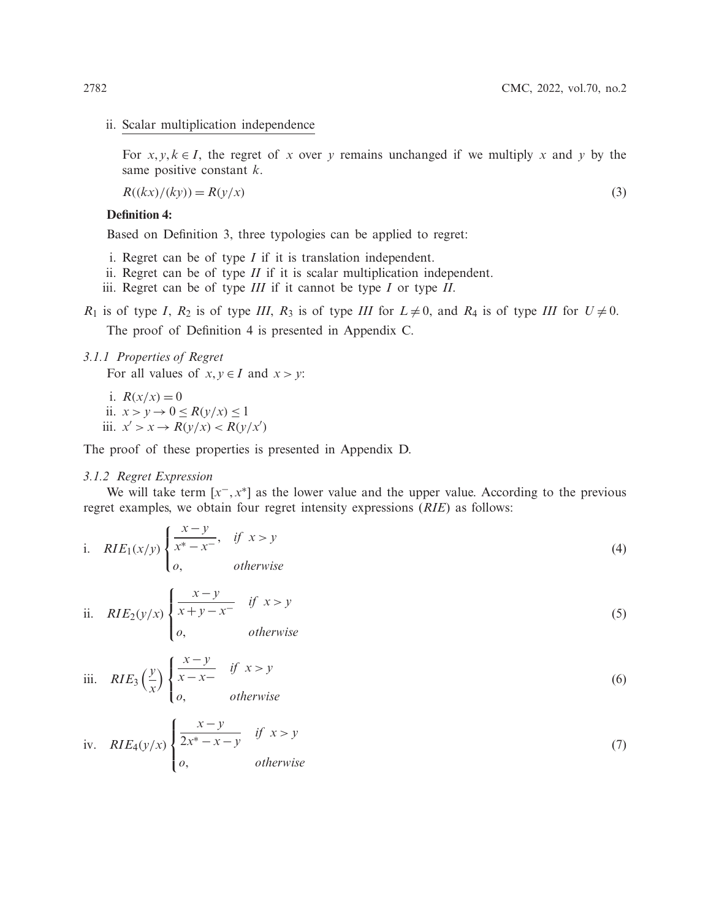### ii. Scalar multiplication independence

For  $x, y, k \in I$ , the regret of *x* over *y* remains unchanged if we multiply *x* and *y* by the same positive constant *k*.

$$
R((kx)/(ky)) = R(y/x)
$$
\n(3)

## **Definition 4:**

Based on Definition 3, three typologies can be applied to regret:

- i. Regret can be of type *I* if it is translation independent.
- ii. Regret can be of type *II* if it is scalar multiplication independent.
- iii. Regret can be of type *III* if it cannot be type *I* or type *II*.

*R*<sub>1</sub> is of type *I*, *R*<sub>2</sub> is of type *III*, *R*<sub>3</sub> is of type *III* for  $L \neq 0$ , and *R*<sub>4</sub> is of type *III* for  $U \neq 0$ .

The proof of Definition 4 is presented in Appendix C.

# *3.1.1 Properties of Regret*

For all values of  $x, y \in I$  and  $x > y$ :

i.  $R(x/x) = 0$ ii.  $x > y \rightarrow 0 \le R(y/x) \le 1$ iii.  $x' > x \rightarrow R(y/x) < R(y/x')$ 

The proof of these properties is presented in Appendix D.

## *3.1.2 Regret Expression*

We will take term  $[x^-, x^*]$  as the lower value and the upper value. According to the previous regret examples, we obtain four regret intensity expressions (*RIE*) as follows:

i. 
$$
RIE_1(x/y) \begin{cases} \frac{x-y}{x^*-x^-}, & \text{if } x > y \\ o, & \text{otherwise} \end{cases}
$$
 (4)

ii. 
$$
RIE_2(y/x) \begin{cases} \frac{x-y}{x+y-x^-} & \text{if } x > y \\ o, & \text{otherwise} \end{cases}
$$
 (5)

iii. 
$$
RIE_3\left(\frac{y}{x}\right)\begin{cases} \frac{x-y}{x-x} & \text{if } x > y \\ 0, & \text{otherwise} \end{cases}
$$
 (6)

iv. 
$$
RIE_4(y/x) \begin{cases} \frac{x-y}{2x^* - x - y} & \text{if } x > y \\ o, & \text{otherwise} \end{cases}
$$
 (7)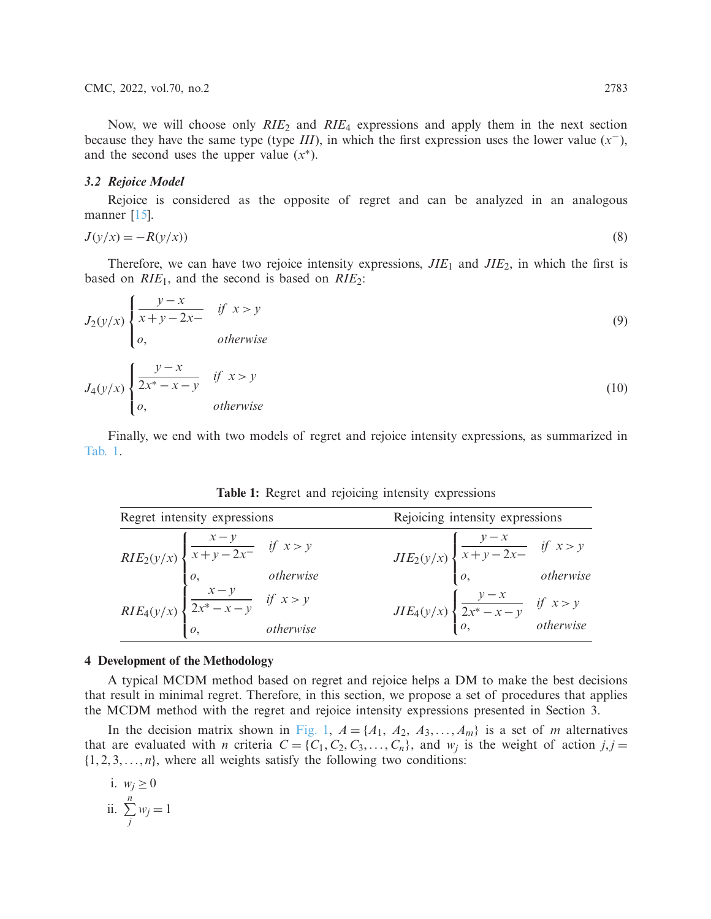Now, we will choose only *RIE*<sup>2</sup> and *RIE*<sup>4</sup> expressions and apply them in the next section because they have the same type (type *III*), in which the first expression uses the lower value  $(x<sup>−</sup>)$ , and the second uses the upper value  $(x^*)$ .

# *3.2 Rejoice Model*

Rejoice is considered as the opposite of regret and can be analyzed in an analogous manner [\[15\]](#page-14-11).

$$
J(y/x) = -R(y/x)
$$
\n(8)

Therefore, we can have two rejoice intensity expressions, *JIE*<sup>1</sup> and *JIE*2, in which the first is based on *RIE*1, and the second is based on *RIE*2:

$$
J_2(y/x) \begin{cases} \frac{y-x}{x+y-2x-} & \text{if } x > y \\ 0, & \text{otherwise} \end{cases}
$$
(9)  

$$
J_4(y/x) \begin{cases} \frac{y-x}{2x^*-x-y} & \text{if } x > y \\ 0, & \text{otherwise} \end{cases}
$$
(10)

Finally, we end with two models of regret and rejoice intensity expressions, as summarized in [Tab. 1.](#page-6-0)

<span id="page-6-0"></span>

| Regret intensity expressions |                                                                                                                                                                                                                                            | Rejoicing intensity expressions |                                                                                                         |  |
|------------------------------|--------------------------------------------------------------------------------------------------------------------------------------------------------------------------------------------------------------------------------------------|---------------------------------|---------------------------------------------------------------------------------------------------------|--|
|                              | RIE <sub>2</sub> (y/x) $\begin{cases} \frac{x-y}{x+y-2x^-} & \text{if } x > y \\ 0, & \text{otherwise} \end{cases}$<br>RIE <sub>4</sub> (y/x) $\begin{cases} \frac{x-y}{2x^*-x-y} & \text{if } x > y \\ 0, & \text{otherwise} \end{cases}$ |                                 | $JIE_2(y/x)$ $\begin{cases} \frac{y-x}{x+y-2x} & \text{if } x > y \\ 0, & \text{otherwise} \end{cases}$ |  |
|                              |                                                                                                                                                                                                                                            |                                 |                                                                                                         |  |
|                              |                                                                                                                                                                                                                                            |                                 | $JIE_4(y/x) \begin{cases} \frac{y-x}{2x^*-x-y} & \text{if } x > y \\ o, & \text{otherwise} \end{cases}$ |  |
|                              |                                                                                                                                                                                                                                            |                                 |                                                                                                         |  |

**Table 1:** Regret and rejoicing intensity expressions

#### **4 Development of the Methodology**

A typical MCDM method based on regret and rejoice helps a DM to make the best decisions that result in minimal regret. Therefore, in this section, we propose a set of procedures that applies the MCDM method with the regret and rejoice intensity expressions presented in Section 3.

In the decision matrix shown in [Fig. 1,](#page-7-0)  $A = \{A_1, A_2, A_3, \ldots, A_m\}$  is a set of *m* alternatives that are evaluated with *n* criteria  $C = \{C_1, C_2, C_3, \ldots, C_n\}$ , and  $w_j$  is the weight of action  $j, j =$  $\{1, 2, 3, \ldots, n\}$ , where all weights satisfy the following two conditions:

i. 
$$
w_j \ge 0
$$
  
ii.  $\sum_{j}^{n} w_j = 1$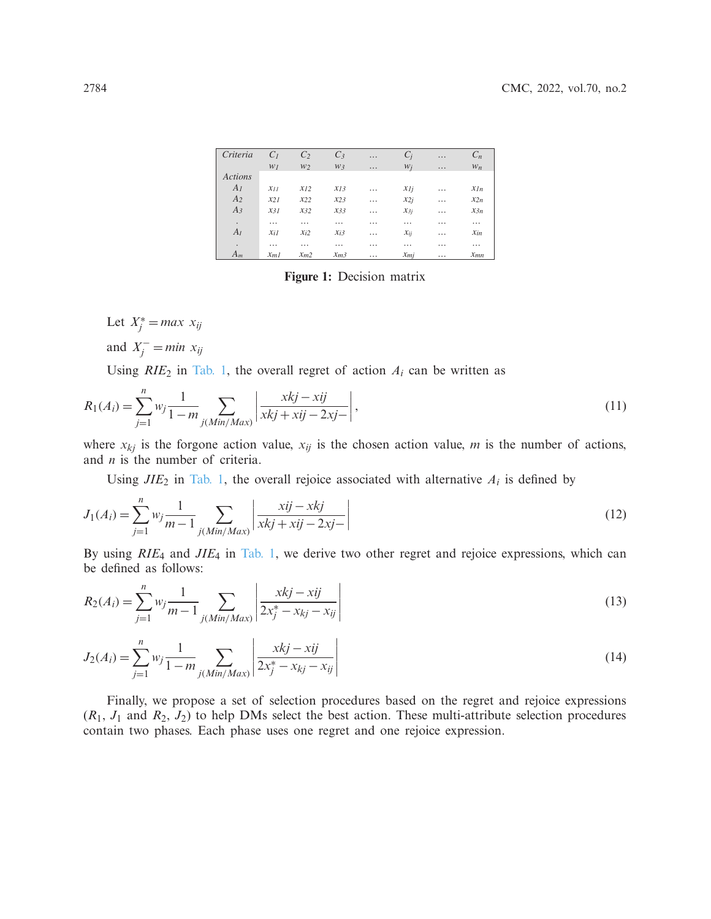| Criteria       | C <sub>1</sub> | C <sub>2</sub> | $C_3$           | $\cdots$ | $C_i$    | $\cdots$ | $C_n$    |
|----------------|----------------|----------------|-----------------|----------|----------|----------|----------|
|                | WI             | W <sub>2</sub> | $W_3$           | .        | $W_i$    | $\cdots$ | $W_n$    |
| <b>Actions</b> |                |                |                 |          |          |          |          |
| $A_I$          | $x_{11}$       | $x_{12}$       | $x_{13}$        | .        | $x_{1i}$ | .        | $x_{In}$ |
| A <sub>2</sub> | $x_{21}$       | $x_{22}$       | $x_{23}$        | .        | $x_{2i}$ | $\cdots$ | $x_{2n}$ |
| $A_3$          | $x_31$         | $x_{32}$       | $x_{33}$        | .        | $x_{3j}$ | $\cdots$ | $x_{3n}$ |
| $\bullet$      | .              | $\cdots$       | $\cdots$        | .        | .        | .        | .        |
| $A_I$          | $x_{iI}$       | $x_{i2}$       | $x_{i3}$        | .        | $x_{ij}$ | $\cdots$ | $x_{in}$ |
| $\bullet$      | .              | $\cdots$       | $\cdots$        | .        | .        | $\cdots$ | $\cdots$ |
| $A_m$          | $x_{m1}$       | $x_{m2}$       | x <sub>m3</sub> | .        | $x_{mi}$ | $\cdots$ | $x_{mn}$ |

<span id="page-7-2"></span><span id="page-7-1"></span><span id="page-7-0"></span>**Figure 1:** Decision matrix

Let  $X_j^* = max \; x_{ij}$ and  $X_j^-$  = *min*  $x_{ij}$ 

Using  $RIE_2$  in [Tab. 1,](#page-6-0) the overall regret of action  $A_i$  can be written as

$$
R_1(A_i) = \sum_{j=1}^n w_j \frac{1}{1 - m} \sum_{j(Min/Max)} \left| \frac{xkj - xij}{xkj + xij - 2xj -} \right|,
$$
\n(11)

where  $x_{kj}$  is the forgone action value,  $x_{ij}$  is the chosen action value, *m* is the number of actions, and *n* is the number of criteria.

Using  $JIE_2$  in [Tab. 1,](#page-6-0) the overall rejoice associated with alternative  $A_i$  is defined by

$$
J_1(A_i) = \sum_{j=1}^n w_j \frac{1}{m-1} \sum_{j(Min/Max)} \left| \frac{xij - xkj}{xkj + xij - 2xj -} \right|
$$
 (12)

<span id="page-7-3"></span>By using *RIE*<sup>4</sup> and *JIE*<sup>4</sup> in [Tab. 1,](#page-6-0) we derive two other regret and rejoice expressions, which can be defined as follows:

$$
R_2(A_i) = \sum_{j=1}^n w_j \frac{1}{m-1} \sum_{j(Min/Max)} \left| \frac{xkj - xij}{2x_j^* - x_{kj} - x_{ij}} \right|
$$
\n(13)

<span id="page-7-4"></span>
$$
J_2(A_i) = \sum_{j=1}^n w_j \frac{1}{1 - m} \sum_{j(Min/Max)} \left| \frac{xkj - xij}{2x_j^* - x_{kj} - x_{ij}} \right| \tag{14}
$$

Finally, we propose a set of selection procedures based on the regret and rejoice expressions  $(R_1, J_1$  and  $R_2, J_2)$  to help DMs select the best action. These multi-attribute selection procedures contain two phases. Each phase uses one regret and one rejoice expression.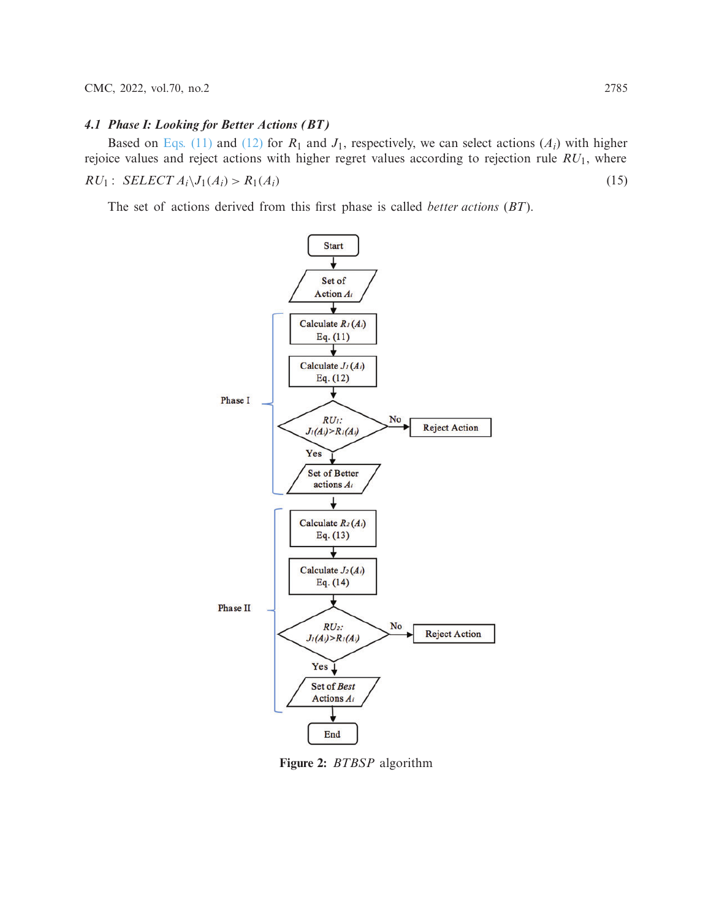# *4.1 Phase I: Looking for Better Actions (BT)*

Based on [Eqs. \(11\)](#page-7-1) and [\(12\)](#page-7-2) for  $R_1$  and  $J_1$ , respectively, we can select actions ( $A_i$ ) with higher rejoice values and reject actions with higher regret values according to rejection rule *RU*1, where  $RU_1: SELECT A_i \setminus J_1(A_i) > R_1(A_i)$  (15)

The set of actions derived from this first phase is called *better actions* (*BT*).

<span id="page-8-1"></span>

<span id="page-8-0"></span>**Figure 2:** *BTBSP* algorithm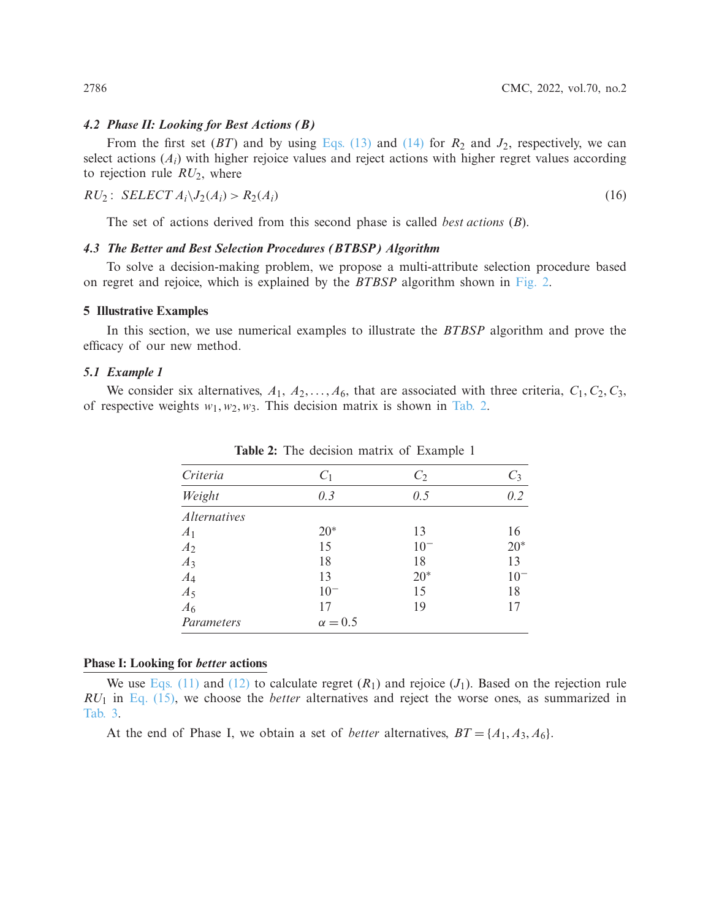#### *4.2 Phase II: Looking for Best Actions (B)*

From the first set  $(BT)$  and by using [Eqs. \(13\)](#page-7-3) and [\(14\)](#page-7-4) for  $R_2$  and  $J_2$ , respectively, we can select actions (*Ai*) with higher rejoice values and reject actions with higher regret values according to rejection rule *RU*2, where

$$
RU_2: SELECT A_i \setminus I_2(A_i) > R_2(A_i)
$$
\n
$$
(16)
$$

<span id="page-9-1"></span>The set of actions derived from this second phase is called *best actions* (*B*).

### *4.3 The Better and Best Selection Procedures (BTBSP) Algorithm*

To solve a decision-making problem, we propose a multi-attribute selection procedure based on regret and rejoice, which is explained by the *BTBSP* algorithm shown in [Fig. 2.](#page-8-0)

## **5 Illustrative Examples**

In this section, we use numerical examples to illustrate the *BTBSP* algorithm and prove the efficacy of our new method.

#### *5.1 Example 1*

<span id="page-9-0"></span>We consider six alternatives,  $A_1, A_2, \ldots, A_6$ , that are associated with three criteria,  $C_1, C_2, C_3$ , of respective weights  $w_1, w_2, w_3$ . This decision matrix is shown in [Tab. 2.](#page-9-0)

| Criteria            | $C_1$          | $C_2$    | $C_3$    |
|---------------------|----------------|----------|----------|
| Weight              | 0.3            | 0.5      | 0.2      |
| <i>Alternatives</i> |                |          |          |
| A <sub>1</sub>      | $20*$          | 13       | 16       |
| A <sub>2</sub>      | 15             | $10^{-}$ | $20*$    |
| $A_3$               | 18             | 18       | 13       |
| $A_4$               | 13             | $20*$    | $10^{-}$ |
| $A_5$               | $10^{-}$       | 15       | 18       |
| A <sub>6</sub>      | 17             | 19       |          |
| Parameters          | $\alpha = 0.5$ |          |          |

**Table 2:** The decision matrix of Example 1

#### **Phase I: Looking for** *better* **actions**

We use [Eqs. \(11\)](#page-7-1) and [\(12\)](#page-7-2) to calculate regret  $(R_1)$  and rejoice  $(J_1)$ . Based on the rejection rule *RU*<sup>1</sup> in [Eq. \(15\),](#page-8-1) we choose the *better* alternatives and reject the worse ones, as summarized in [Tab. 3.](#page-10-0)

At the end of Phase I, we obtain a set of *better* alternatives,  $BT = \{A_1, A_3, A_6\}.$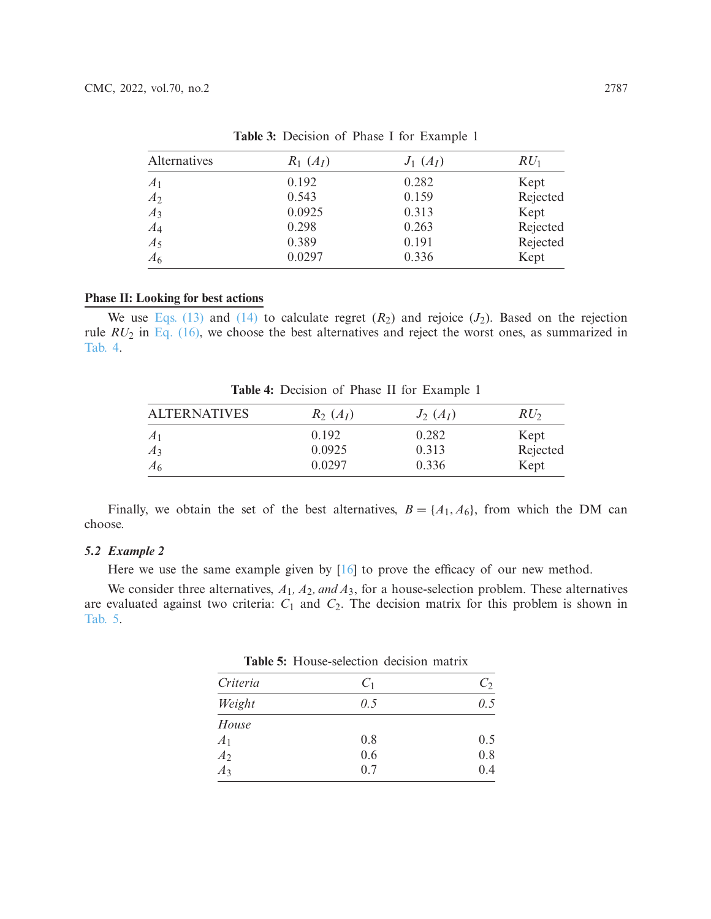<span id="page-10-0"></span>

| Alternatives   | $R_1(A_I)$ | $J_1(A_I)$ | $RU_1$   |
|----------------|------------|------------|----------|
| A <sub>1</sub> | 0.192      | 0.282      | Kept     |
| A <sub>2</sub> | 0.543      | 0.159      | Rejected |
| $A_3$          | 0.0925     | 0.313      | Kept     |
| $A_4$          | 0.298      | 0.263      | Rejected |
| $A_5$          | 0.389      | 0.191      | Rejected |
| A <sub>6</sub> | 0.0297     | 0.336      | Kept     |

**Table 3:** Decision of Phase I for Example 1

#### **Phase II: Looking for best actions**

<span id="page-10-1"></span>We use [Eqs. \(13\)](#page-7-3) and [\(14\)](#page-7-4) to calculate regret  $(R_2)$  and rejoice  $(J_2)$ . Based on the rejection rule *RU*<sup>2</sup> in [Eq. \(16\),](#page-9-1) we choose the best alternatives and reject the worst ones, as summarized in [Tab. 4.](#page-10-1)

ALTERNATIVES *R*<sup>2</sup> (*AI*) *J*<sup>2</sup> (*AI*) *RU*<sup>2</sup> *A*<sup>1</sup> 0.192 0.282 Kept *A*<sub>3</sub> 0.0925 0.313 Rejected *A*<sub>6</sub> 6 0.0297 0.336 Kept

**Table 4:** Decision of Phase II for Example 1

Finally, we obtain the set of the best alternatives,  $B = \{A_1, A_6\}$ , from which the DM can choose.

# *5.2 Example 2*

Here we use the same example given by  $[16]$  $[16]$  to prove the efficacy of our new method.

<span id="page-10-2"></span>We consider three alternatives, *A*1*, A*2*, and A*3, for a house-selection problem. These alternatives are evaluated against two criteria:  $C_1$  and  $C_2$ . The decision matrix for this problem is shown in [Tab. 5.](#page-10-2)

**Table 5:** House-selection decision matrix

| Criteria         | C <sub>1</sub> | $C_2$ |
|------------------|----------------|-------|
| Weight           | 0.5            | 0.5   |
| House            |                |       |
| A <sub>1</sub>   | 0.8            | 0.5   |
| A <sub>2</sub>   | 0.6            | 0.8   |
| $\overline{A_3}$ | 0.7            | 0.4   |
|                  |                |       |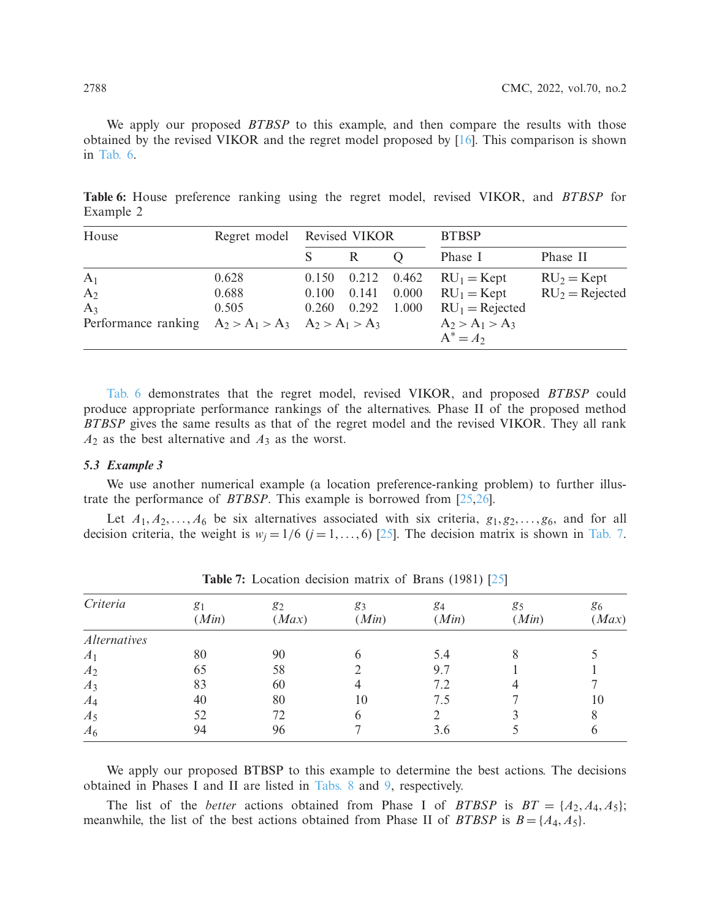We apply our proposed *BTBSP* to this example, and then compare the results with those obtained by the revised VIKOR and the regret model proposed by [\[16](#page-14-12)]. This comparison is shown in [Tab. 6.](#page-11-0)

<span id="page-11-0"></span>**Table 6:** House preference ranking using the regret model, revised VIKOR, and *BTBSP* for Example 2

| House                                                   | Regret model | Revised VIKOR |       | <b>BTBSP</b> |                   |                  |
|---------------------------------------------------------|--------------|---------------|-------|--------------|-------------------|------------------|
|                                                         |              |               |       |              | Phase I           | Phase II         |
| A <sub>1</sub>                                          | 0.628        | 0.150         | 0.212 | 0.462        | $RU_1 = Kept$     | $RU2 = Kept$     |
| A <sub>2</sub>                                          | 0.688        | 0.100         | 0.141 | 0.000        | $RU_1 = Kept$     | $RU2 = Rejected$ |
| $A_3$                                                   | 0.505        | 0.260         | 0.292 | 1.000        | $RU1 = Rejected$  |                  |
| Performance ranking $A_2 > A_1 > A_3$ $A_2 > A_1 > A_3$ |              |               |       |              | $A_2 > A_1 > A_3$ |                  |
|                                                         |              |               |       |              | $A^* = A_2$       |                  |

[Tab. 6](#page-11-0) demonstrates that the regret model, revised VIKOR, and proposed *BTBSP* could produce appropriate performance rankings of the alternatives. Phase II of the proposed method *BTBSP* gives the same results as that of the regret model and the revised VIKOR. They all rank *A*<sup>2</sup> as the best alternative and *A*<sup>3</sup> as the worst.

# *5.3 Example 3*

We use another numerical example (a location preference-ranking problem) to further illustrate the performance of *BTBSP*. This example is borrowed from [\[25](#page-14-21)[,26](#page-14-22)].

Let  $A_1, A_2, \ldots, A_6$  be six alternatives associated with six criteria,  $g_1, g_2, \ldots, g_6$ , and for all decision criteria, the weight is  $w_i = 1/6$  ( $j = 1, \ldots, 6$ ) [\[25\]](#page-14-21). The decision matrix is shown in [Tab. 7.](#page-11-1)

<span id="page-11-1"></span>

| Criteria            | g <sub>1</sub> | $g_2$ | 83    | 84    | 85    | 86    |
|---------------------|----------------|-------|-------|-------|-------|-------|
|                     | (Min)          | (Max) | (Min) | (Min) | (Min) | (Max) |
| <b>Alternatives</b> |                |       |       |       |       |       |
| A <sub>1</sub>      | 80             | 90    |       | 5.4   |       |       |
| A <sub>2</sub>      | 65             | 58    |       | 9.7   |       |       |
| $A_3$               | 83             | 60    |       | 7.2   |       |       |
| $A_4$               | 40             | 80    | 10    | 7.5   |       | 10    |
| $A_5$               | 52             | 72    | h     |       |       |       |
| $A_6$               | 94             | 96    |       | 3.6   |       |       |

**Table 7:** Location decision matrix of Brans (1981) [\[25](#page-14-21)]

We apply our proposed BTBSP to this example to determine the best actions. The decisions obtained in Phases I and II are listed in [Tabs. 8](#page-12-0) and [9,](#page-12-1) respectively.

The list of the *better* actions obtained from Phase I of *BTBSP* is  $BT = \{A_2, A_4, A_5\}$ ; meanwhile, the list of the best actions obtained from Phase II of *BTBSP* is  $B = \{A_4, A_5\}$ .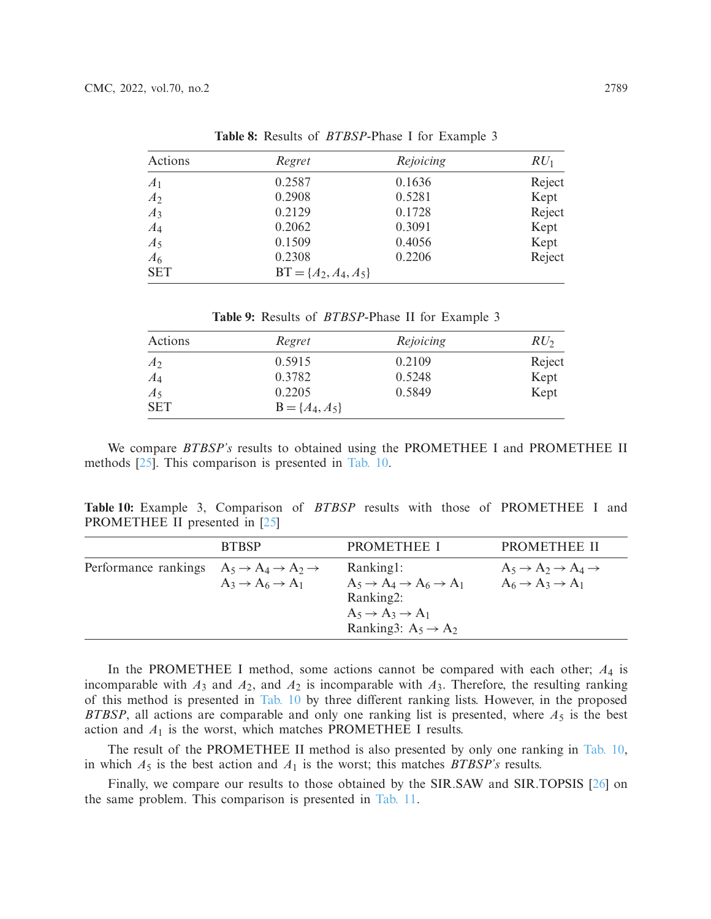<span id="page-12-0"></span>

| Actions        | Regret                   | Rejoicing | $RU_1$ |
|----------------|--------------------------|-----------|--------|
| A <sub>1</sub> | 0.2587                   | 0.1636    | Reject |
| A <sub>2</sub> | 0.2908                   | 0.5281    | Kept   |
| $A_3$          | 0.2129                   | 0.1728    | Reject |
| $A_4$          | 0.2062                   | 0.3091    | Kept   |
| $A_5$          | 0.1509                   | 0.4056    | Kept   |
| $A_6$          | 0.2308                   | 0.2206    | Reject |
| <b>SET</b>     | $BT = \{A_2, A_4, A_5\}$ |           |        |

**Table 8:** Results of *BTBSP*-Phase I for Example 3

**Table 9:** Results of *BTBSP*-Phase II for Example 3

<span id="page-12-1"></span>

| Actions        | Regret             | Rejoicing | RU <sub>2</sub> |
|----------------|--------------------|-----------|-----------------|
| A <sub>2</sub> | 0.5915             | 0.2109    | Reject          |
| $A_4$          | 0.3782             | 0.5248    | Kept            |
| $A_5$          | 0.2205             | 0.5849    | Kept            |
| <b>SET</b>     | $B = \{A_4, A_5\}$ |           |                 |

We compare *BTBSP's* results to obtained using the PROMETHEE I and PROMETHEE II methods [\[25](#page-14-21)]. This comparison is presented in [Tab. 10.](#page-12-2)

<span id="page-12-2"></span>**Table 10:** Example 3, Comparison of *BTBSP* results with those of PROMETHEE I and PROMETHEE II presented in [\[25\]](#page-14-21)

|                                                                        | <b>BTBSP</b>                          | <b>PROMETHEE I</b>                                                                                                                                          | <b>PROMETHEE II</b>                                                                        |
|------------------------------------------------------------------------|---------------------------------------|-------------------------------------------------------------------------------------------------------------------------------------------------------------|--------------------------------------------------------------------------------------------|
| Performance rankings $A_5 \rightarrow A_4 \rightarrow A_2 \rightarrow$ | $A_3 \rightarrow A_6 \rightarrow A_1$ | Ranking1:<br>$A_5 \rightarrow A_4 \rightarrow A_6 \rightarrow A_1$<br>Ranking2:<br>$A_5 \rightarrow A_3 \rightarrow A_1$<br>Ranking3: $A_5 \rightarrow A_2$ | $A_5 \rightarrow A_2 \rightarrow A_4 \rightarrow$<br>$A_6 \rightarrow A_3 \rightarrow A_1$ |

In the PROMETHEE I method, some actions cannot be compared with each other; *A*<sup>4</sup> is incomparable with  $A_3$  and  $A_2$ , and  $A_2$  is incomparable with  $A_3$ . Therefore, the resulting ranking of this method is presented in [Tab. 10](#page-12-2) by three different ranking lists. However, in the proposed *BTBSP*, all actions are comparable and only one ranking list is presented, where  $A_5$  is the best action and *A*<sup>1</sup> is the worst, which matches PROMETHEE I results.

The result of the PROMETHEE II method is also presented by only one ranking in [Tab. 10,](#page-12-2) in which  $A_5$  is the best action and  $A_1$  is the worst; this matches *BTBSP's* results.

Finally, we compare our results to those obtained by the SIR.SAW and SIR.TOPSIS [\[26\]](#page-14-22) on the same problem. This comparison is presented in [Tab. 11.](#page-13-3)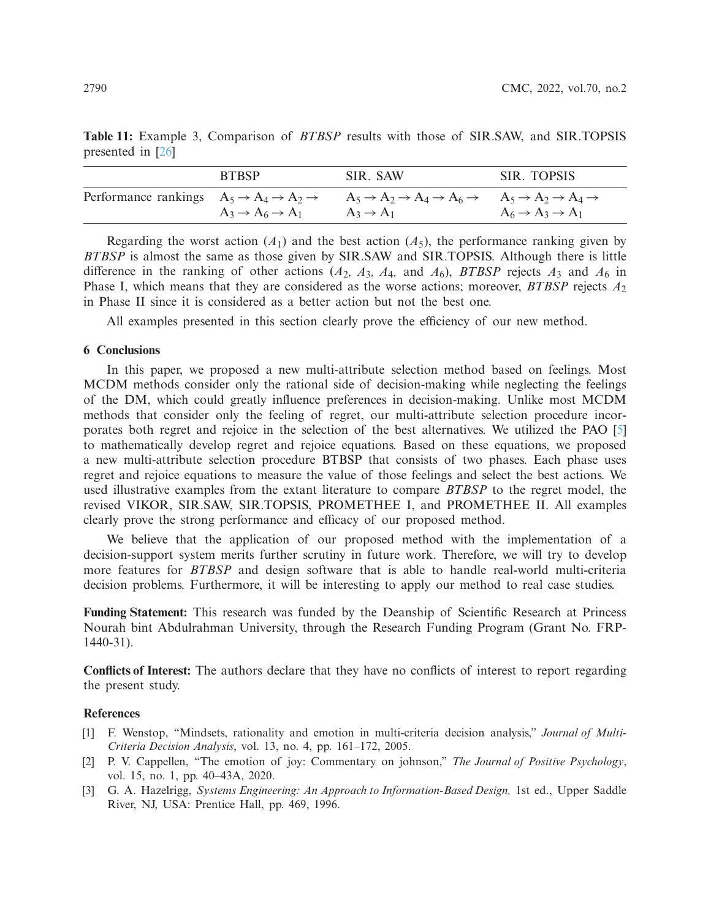| <b>BTBSP</b>                          | SIR. SAW                                                                                                                                                                               | SIR. TOPSIS                           |
|---------------------------------------|----------------------------------------------------------------------------------------------------------------------------------------------------------------------------------------|---------------------------------------|
|                                       | Performance rankings $A_5 \rightarrow A_4 \rightarrow A_2 \rightarrow A_5 \rightarrow A_2 \rightarrow A_4 \rightarrow A_6 \rightarrow A_5 \rightarrow A_2 \rightarrow A_4 \rightarrow$ |                                       |
| $A_3 \rightarrow A_6 \rightarrow A_1$ | $A_3 \rightarrow A_1$                                                                                                                                                                  | $A_6 \rightarrow A_3 \rightarrow A_1$ |

<span id="page-13-3"></span>**Table 11:** Example 3, Comparison of *BTBSP* results with those of SIR.SAW, and SIR.TOPSIS presented in [\[26](#page-14-22)]

Regarding the worst action  $(A_1)$  and the best action  $(A_5)$ , the performance ranking given by *BTBSP* is almost the same as those given by SIR.SAW and SIR.TOPSIS. Although there is little difference in the ranking of other actions (*A*2*, A*3*, A*4*,* and *A*6), *BTBSP* rejects *A*<sup>3</sup> and *A*<sup>6</sup> in Phase I, which means that they are considered as the worse actions; moreover, *BTBSP* rejects *A*<sup>2</sup> in Phase II since it is considered as a better action but not the best one.

All examples presented in this section clearly prove the efficiency of our new method.

### **6 Conclusions**

In this paper, we proposed a new multi-attribute selection method based on feelings. Most MCDM methods consider only the rational side of decision-making while neglecting the feelings of the DM, which could greatly influence preferences in decision-making. Unlike most MCDM methods that consider only the feeling of regret, our multi-attribute selection procedure incorporates both regret and rejoice in the selection of the best alternatives. We utilized the PAO [\[5\]](#page-14-1) to mathematically develop regret and rejoice equations. Based on these equations, we proposed a new multi-attribute selection procedure BTBSP that consists of two phases. Each phase uses regret and rejoice equations to measure the value of those feelings and select the best actions. We used illustrative examples from the extant literature to compare *BTBSP* to the regret model, the revised VIKOR, SIR.SAW, SIR.TOPSIS, PROMETHEE I, and PROMETHEE II. All examples clearly prove the strong performance and efficacy of our proposed method.

We believe that the application of our proposed method with the implementation of a decision-support system merits further scrutiny in future work. Therefore, we will try to develop more features for *BTBSP* and design software that is able to handle real-world multi-criteria decision problems. Furthermore, it will be interesting to apply our method to real case studies.

**Funding Statement:** This research was funded by the Deanship of Scientific Research at Princess Nourah bint Abdulrahman University, through the Research Funding Program (Grant No. FRP-1440-31).

**Conflicts of Interest:** The authors declare that they have no conflicts of interest to report regarding the present study.

# **References**

- <span id="page-13-0"></span>[1] F. Wenstop, "Mindsets, rationality and emotion in multi-criteria decision analysis," *Journal of Multi-Criteria Decision Analysis*, vol. 13, no. 4, pp. 161–172, 2005.
- <span id="page-13-1"></span>[2] P. V. Cappellen, "The emotion of joy: Commentary on johnson," *The Journal of Positive Psychology*, vol. 15, no. 1, pp. 40–43A, 2020.
- <span id="page-13-2"></span>[3] G. A. Hazelrigg, *Systems Engineering: An Approach to Information-Based Design,* 1st ed., Upper Saddle River, NJ, USA: Prentice Hall, pp. 469, 1996.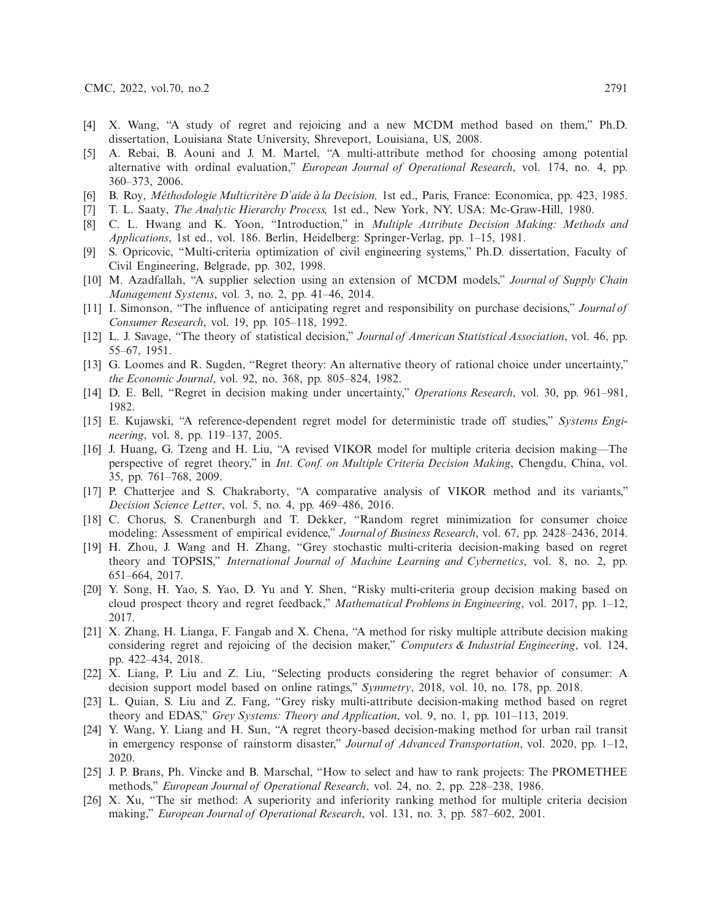- <span id="page-14-0"></span>[4] X. Wang, "A study of regret and rejoicing and a new MCDM method based on them," Ph.D. dissertation, Louisiana State University, Shreveport, Louisiana, US, 2008.
- <span id="page-14-1"></span>[5] A. Rebai, B. Aouni and J. M. Martel, "A multi-attribute method for choosing among potential alternative with ordinal evaluation," *European Journal of Operational Research*, vol. 174, no. 4, pp. 360–373, 2006.
- <span id="page-14-2"></span>[6] B. Roy, *Méthodologie Multicritère D'aide à la Decision,* 1st ed., Paris, France: Economica, pp. 423, 1985.
- <span id="page-14-3"></span>[7] T. L. Saaty, *The Analytic Hierarchy Process,* 1st ed., New York, NY, USA: Mc-Graw-Hill, 1980.
- <span id="page-14-4"></span>[8] C. L. Hwang and K. Yoon, "Introduction," in *Multiple Attribute Decision Making: Methods and Applications*, 1st ed., vol. 186. Berlin, Heidelberg: Springer-Verlag, pp. 1–15, 1981.
- <span id="page-14-5"></span>[9] S. Opricovic, "Multi-criteria optimization of civil engineering systems," Ph.D. dissertation, Faculty of Civil Engineering, Belgrade, pp. 302, 1998.
- <span id="page-14-6"></span>[10] M. Azadfallah, "A supplier selection using an extension of MCDM models," *Journal of Supply Chain Management Systems*, vol. 3, no. 2, pp. 41–46, 2014.
- <span id="page-14-7"></span>[11] I. Simonson, "The influence of anticipating regret and responsibility on purchase decisions," *Journal of Consumer Research*, vol. 19, pp. 105–118, 1992.
- <span id="page-14-8"></span>[12] L. J. Savage, "The theory of statistical decision," *Journal of American Statistical Association*, vol. 46, pp. 55–67, 1951.
- <span id="page-14-9"></span>[13] G. Loomes and R. Sugden, "Regret theory: An alternative theory of rational choice under uncertainty," *the Economic Journal*, vol. 92, no. 368, pp. 805–824, 1982.
- <span id="page-14-10"></span>[14] D. E. Bell, "Regret in decision making under uncertainty," *Operations Research*, vol. 30, pp. 961–981, 1982.
- <span id="page-14-11"></span>[15] E. Kujawski, "A reference-dependent regret model for deterministic trade off studies," *Systems Engineering*, vol. 8, pp. 119–137, 2005.
- <span id="page-14-12"></span>[16] J. Huang, G. Tzeng and H. Liu, "A revised VIKOR model for multiple criteria decision making—The perspective of regret theory," in *Int. Conf. on Multiple Criteria Decision Making*, Chengdu, China, vol. 35, pp. 761–768, 2009.
- <span id="page-14-13"></span>[17] P. Chatterjee and S. Chakraborty, "A comparative analysis of VIKOR method and its variants," *Decision Science Letter*, vol. 5, no. 4, pp. 469–486, 2016.
- <span id="page-14-14"></span>[18] C. Chorus, S. Cranenburgh and T. Dekker, "Random regret minimization for consumer choice modeling: Assessment of empirical evidence," *Journal of Business Research*, vol. 67, pp. 2428–2436, 2014.
- <span id="page-14-15"></span>[19] H. Zhou, J. Wang and H. Zhang, "Grey stochastic multi-criteria decision-making based on regret theory and TOPSIS," *International Journal of Machine Learning and Cybernetics*, vol. 8, no. 2, pp. 651–664, 2017.
- <span id="page-14-16"></span>[20] Y. Song, H. Yao, S. Yao, D. Yu and Y. Shen, "Risky multi-criteria group decision making based on cloud prospect theory and regret feedback," *Mathematical Problems in Engineering*, vol. 2017, pp. 1–12, 2017.
- <span id="page-14-17"></span>[21] X. Zhang, H. Lianga, F. Fangab and X. Chena, "A method for risky multiple attribute decision making considering regret and rejoicing of the decision maker," *Computers & Industrial Engineering*, vol. 124, pp. 422–434, 2018.
- <span id="page-14-18"></span>[22] X. Liang, P. Liu and Z. Liu, "Selecting products considering the regret behavior of consumer: A decision support model based on online ratings," *Symmetry*, 2018, vol. 10, no. 178, pp. 2018.
- <span id="page-14-19"></span>[23] L. Quian, S. Liu and Z. Fang, "Grey risky multi-attribute decision-making method based on regret theory and EDAS," *Grey Systems: Theory and Application*, vol. 9, no. 1, pp. 101–113, 2019.
- <span id="page-14-20"></span>[24] Y. Wang, Y. Liang and H. Sun, "A regret theory-based decision-making method for urban rail transit in emergency response of rainstorm disaster," *Journal of Advanced Transportation*, vol. 2020, pp. 1–12, 2020.
- <span id="page-14-21"></span>[25] J. P. Brans, Ph. Vincke and B. Marschal, "How to select and haw to rank projects: The PROMETHEE methods," *European Journal of Operational Research*, vol. 24, no. 2, pp. 228–238, 1986.
- <span id="page-14-22"></span>[26] X. Xu, "The sir method: A superiority and inferiority ranking method for multiple criteria decision making," *European Journal of Operational Research*, vol. 131, no. 3, pp. 587–602, 2001.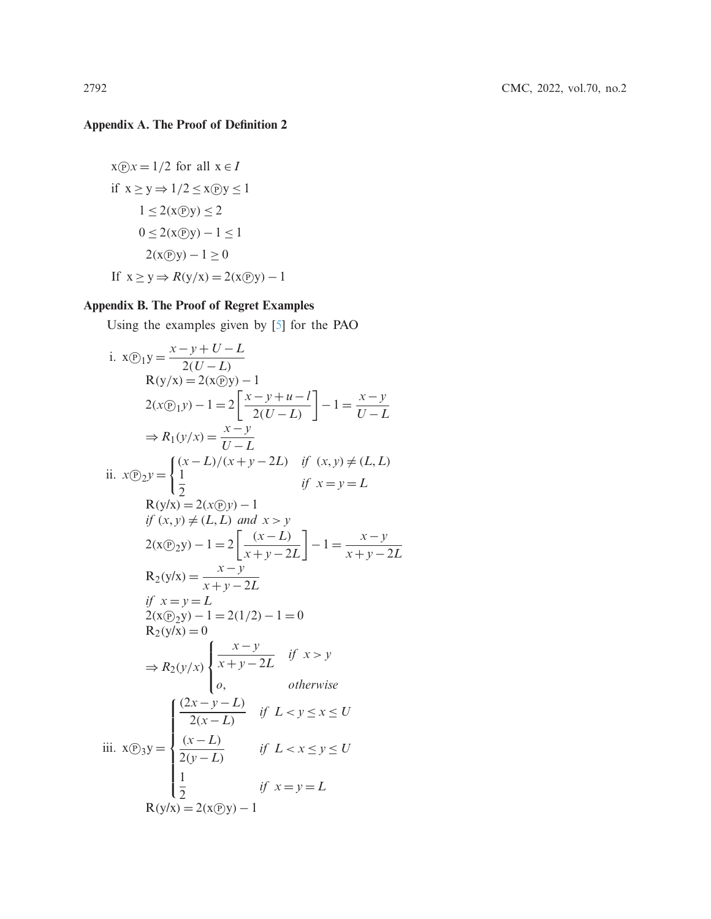# **Appendix A. The Proof of Definition 2**

$$
x(\overline{y})x = 1/2 \text{ for all } x \in I
$$
  
if  $x \ge y \Rightarrow 1/2 \le x(\overline{y})y \le 1$   
 $1 \le 2(x(\overline{y})) \le 2$   
 $0 \le 2(x(\overline{y})) - 1 \le 1$   
 $2(x(\overline{y})) - 1 \ge 0$   
If  $x \ge y \Rightarrow R(y/x) = 2(x(\overline{y})) - 1$ 

# **Appendix B. The Proof of Regret Examples**

Using the examples given by [\[5\]](#page-14-1) for the PAO

i. 
$$
x(\text{P}_1 y) = \frac{x - y + U - L}{2(U - L)}
$$
  
\n $R(y/x) = 2(x\text{P}_2 y) - 1$   
\n $2(x\text{P}_1 y) - 1 = 2\left[\frac{x - y + u - l}{2(U - L)}\right] - 1 = \frac{x - y}{U - L}$   
\n $\Rightarrow R_1(y/x) = \frac{x - y}{U - L}$   
\nii.  $x(\text{P}_2 y) = \begin{cases} (x - L)/(x + y - 2L) & \text{if } (x, y) \neq (L, L) \\ \frac{1}{2} & \text{if } x = y = L \end{cases}$   
\n $R(y/x) = 2(x\text{P}_2 y) - 1$   
\n $\text{if } (x, y) \neq (L, L)$  and  $x > y$   
\n $2(x(\text{P}_2 y)) - 1 = 2\left[\frac{(x - L)}{x + y - 2L}\right] - 1 = \frac{x - y}{x + y - 2L}$   
\n $R_2(y/x) = \frac{x - y}{x + y - 2L}$   
\n $\text{if } x = y = L$   
\n $2(x(\text{P}_2 y) - 1 = 2(1/2) - 1 = 0$   
\n $R_2(y/x) = 0$   
\n $\Rightarrow R_2(y/x) = \begin{cases} \frac{x - y}{x + y - 2L} & \text{if } x > y \\ 0, & \text{otherwise} \end{cases}$   
\niii.  $x(\text{P}_3 y) = \begin{cases} \frac{(2x - y - L)}{2(x - L)} & \text{if } L < y \leq x \leq U \\ \frac{1}{2(x - L)} & \text{if } L < x \leq y \leq U \\ \frac{1}{2} & \text{if } x = y = L \\ \frac{1}{2} & \text{if } x = y = L \end{cases}$   
\n $R(y/x) = 2(x\text{P}_3 y) - 1$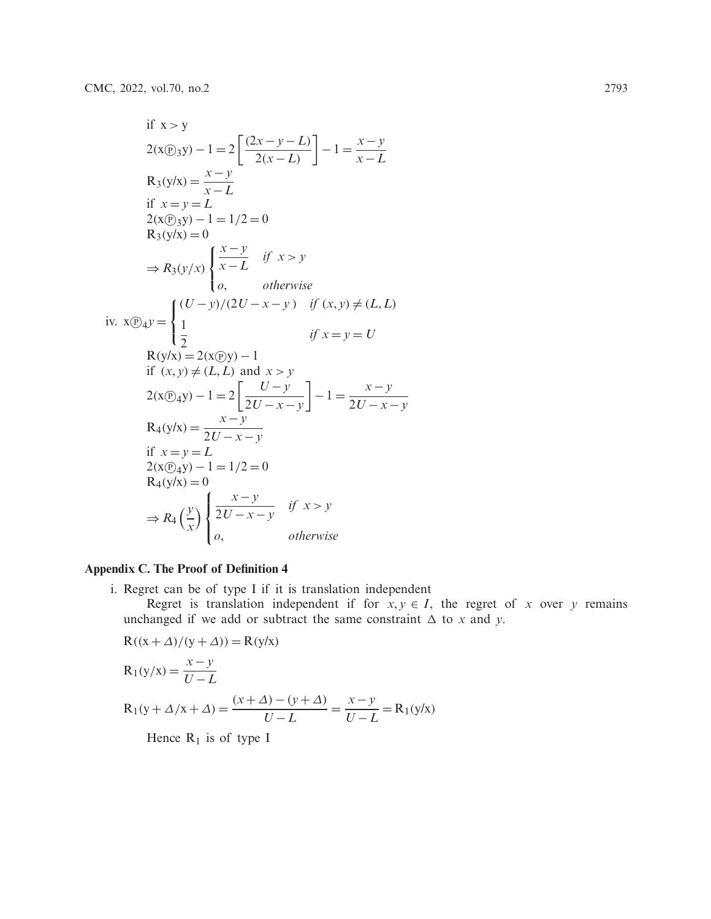if 
$$
x > y
$$
  
\n
$$
2(x\mathcal{D}_3y) - 1 = 2\left[\frac{(2x - y - L)}{2(x - L)}\right] - 1 = \frac{x - y}{x - L}
$$
\n
$$
R_3(y/x) = \frac{x - y}{x - L}
$$
\nif  $x = y = L$   
\n
$$
2(x\mathcal{D}_3y) - 1 = 1/2 = 0
$$
\n
$$
R_3(y/x) = 0
$$
\n
$$
\Rightarrow R_3(y/x) = \begin{cases} \frac{x - y}{x - L} & \text{if } x > y \\ 0, & \text{otherwise} \end{cases}
$$
\n
$$
x \mathcal{D}_4y = \begin{cases} \frac{(U - y)}{2}(2U - x - y) & \text{if } (x, y) \neq (L, L) \\ \frac{1}{2} & \text{if } x = y = U \end{cases}
$$
\n
$$
R(y/x) = 2(x\mathcal{D}_3y) - 1
$$
\nif  $(x, y) \neq (L, L)$  and  $x > y$   
\n
$$
2(x\mathcal{D}_4y) - 1 = 2\left[\frac{U - y}{2U - x - y}\right] - 1 = \frac{x - y}{2U - x - y}
$$
\n
$$
R_4(y/x) = \frac{x - y}{2U - x - y}
$$
\nif  $x = y = L$   
\n
$$
2(x\mathcal{D}_4y) - 1 = 1/2 = 0
$$
\n
$$
R_4(y/x) = 0
$$
\n
$$
\Rightarrow R_4\left(\frac{y}{x}\right)\begin{cases} \frac{x - y}{2U - x - y} & \text{if } x > y \\ 0, & \text{otherwise} \end{cases}
$$

# **Appendix C. The Proof of Definition 4**

- i. Regret can be of type I if it is translation independent
	- Regret is translation independent if for  $x, y \in I$ , the regret of *x* over *y* remains unchanged if we add or subtract the same constraint  $\Delta$  to *x* and *y*.

$$
R((x + \Delta)/(y + \Delta)) = R(y/x)
$$
  
\n
$$
R_1(y/x) = \frac{x - y}{U - L}
$$
  
\n
$$
R_1(y + \Delta/x + \Delta) = \frac{(x + \Delta) - (y + \Delta)}{U - L} = \frac{x - y}{U - L} = R_1(y/x)
$$

Hence  $R_1$  is of type I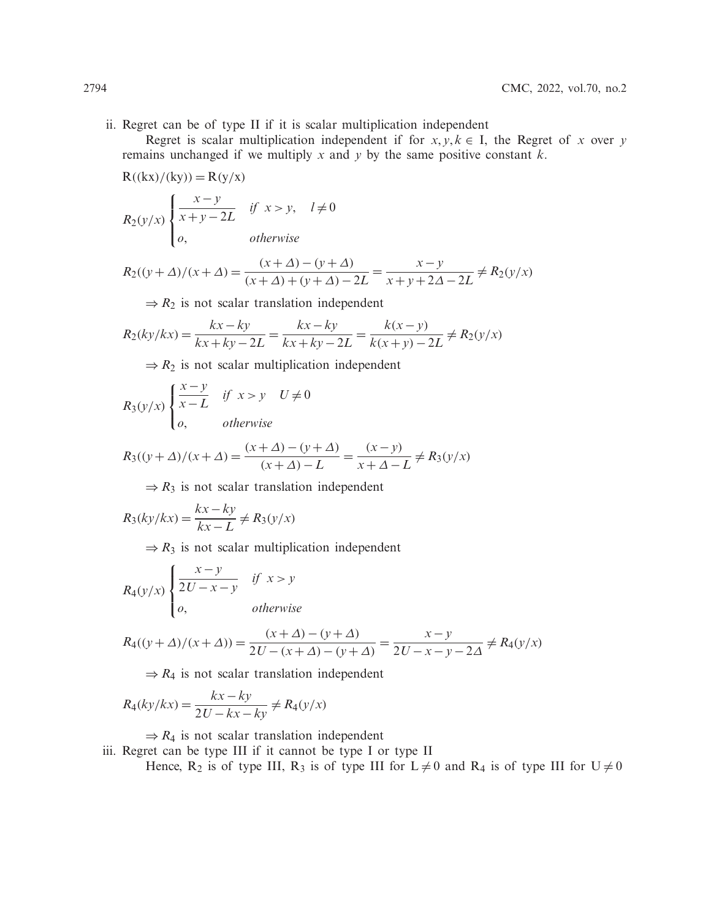ii. Regret can be of type II if it is scalar multiplication independent

Regret is scalar multiplication independent if for  $x, y, k \in I$ , the Regret of *x* over *y* remains unchanged if we multiply *x* and *y* by the same positive constant *k*.

$$
R((kx)/(ky)) = R(y/x)
$$
  
\n
$$
R_2(y/x) \begin{cases} \frac{x-y}{x+y-2L} & \text{if } x > y, \quad l \neq 0 \\ o, & \text{otherwise} \end{cases}
$$

 $R_2((y + \Delta)/(x + \Delta)) = \frac{(x + \Delta) - (y + \Delta)}{(x + \Delta) + (y + \Delta) - 2L} = \frac{x - y}{x + y + 2\Delta - 2L} \neq R_2(y/x)$ 

 $\Rightarrow R_2$  is not scalar translation independent

$$
R_2(ky/kx) = \frac{kx - ky}{kx + ky - 2L} = \frac{kx - ky}{kx + ky - 2L} = \frac{k(x - y)}{k(x + y) - 2L} \neq R_2(y/x)
$$

 $\Rightarrow R_2$  is not scalar multiplication independent

$$
R_3(y/x) \begin{cases} \frac{x-y}{x-L} & \text{if } x > y \quad U \neq 0\\ o, & \text{otherwise} \end{cases}
$$

$$
R_3((y+\Delta)/(x+\Delta)) = \frac{(x+\Delta) - (y+\Delta)}{(x+\Delta) - L} = \frac{(x-y)}{x+\Delta - L} \neq R_3(y/x)
$$

 $\Rightarrow$   $R_3$  is not scalar translation independent

$$
R_3(ky/kx) = \frac{kx - ky}{kx - L} \neq R_3(y/x)
$$

 $\Rightarrow$   $R_3$  is not scalar multiplication independent

$$
R_4(y/x) \begin{cases} \frac{x-y}{2U-x-y} & \text{if } x > y \\ o, & \text{otherwise} \end{cases}
$$

$$
R_4((y+\Delta)/(x+\Delta)) = \frac{(x+\Delta) - (y+\Delta)}{2U - (x+\Delta) - (y+\Delta)} = \frac{x-y}{2U - x - y - 2\Delta} \neq R_4(y/x)
$$

 $\Rightarrow$   $R_4$  is not scalar translation independent

$$
R_4(ky/kx) = \frac{kx - ky}{2U - kx - ky} \neq R_4(y/x)
$$

 $\Rightarrow$   $R_4$  is not scalar translation independent

iii. Regret can be type III if it cannot be type I or type II

Hence, R<sub>2</sub> is of type III, R<sub>3</sub> is of type III for  $L \neq 0$  and R<sub>4</sub> is of type III for  $U \neq 0$